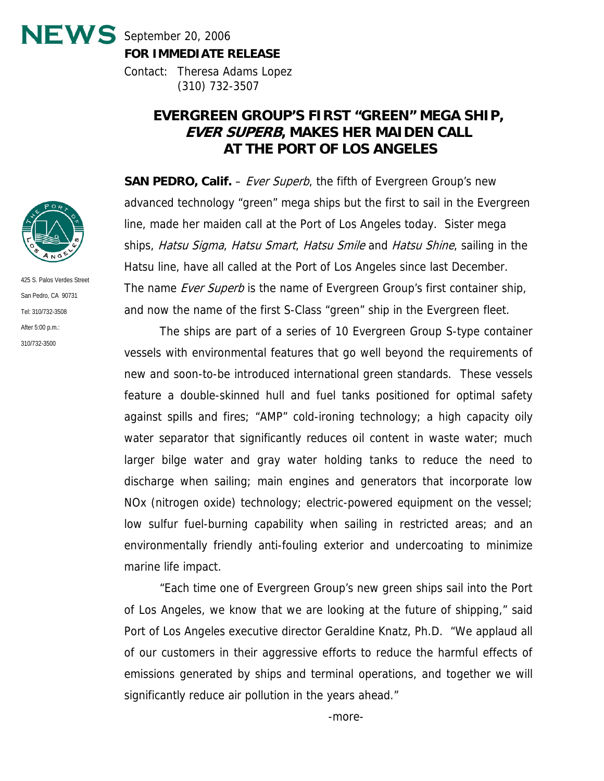$NEWS$  September 20, 2006 **FOR IMMEDIATE RELEASE**

> Contact: Theresa Adams Lopez (310) 732-3507

## **EVERGREEN GROUP'S FIRST "GREEN" MEGA SHIP, EVER SUPERB, MAKES HER MAIDEN CALL AT THE PORT OF LOS ANGELES**

**SAN PEDRO, Calif.** – *Ever Superb*, the fifth of Evergreen Group's new advanced technology "green" mega ships but the first to sail in the Evergreen line, made her maiden call at the Port of Los Angeles today. Sister mega ships, Hatsu Sigma, Hatsu Smart, Hatsu Smile and Hatsu Shine, sailing in the Hatsu line, have all called at the Port of Los Angeles since last December. The name *Ever Superb* is the name of Evergreen Group's first container ship, and now the name of the first S-Class "green" ship in the Evergreen fleet.

The ships are part of a series of 10 Evergreen Group S-type container vessels with environmental features that go well beyond the requirements of new and soon-to-be introduced international green standards. These vessels feature a double-skinned hull and fuel tanks positioned for optimal safety against spills and fires; "AMP" cold-ironing technology; a high capacity oily water separator that significantly reduces oil content in waste water; much larger bilge water and gray water holding tanks to reduce the need to discharge when sailing; main engines and generators that incorporate low NOx (nitrogen oxide) technology; electric-powered equipment on the vessel; low sulfur fuel-burning capability when sailing in restricted areas; and an environmentally friendly anti-fouling exterior and undercoating to minimize marine life impact.

"Each time one of Evergreen Group's new green ships sail into the Port of Los Angeles, we know that we are looking at the future of shipping," said Port of Los Angeles executive director Geraldine Knatz, Ph.D. "We applaud all of our customers in their aggressive efforts to reduce the harmful effects of emissions generated by ships and terminal operations, and together we will significantly reduce air pollution in the years ahead."



425 S. Palos Verdes Street San Pedro, CA 90731 Tel: 310/732-3508 After 5:00 p.m.: 310/732-3500